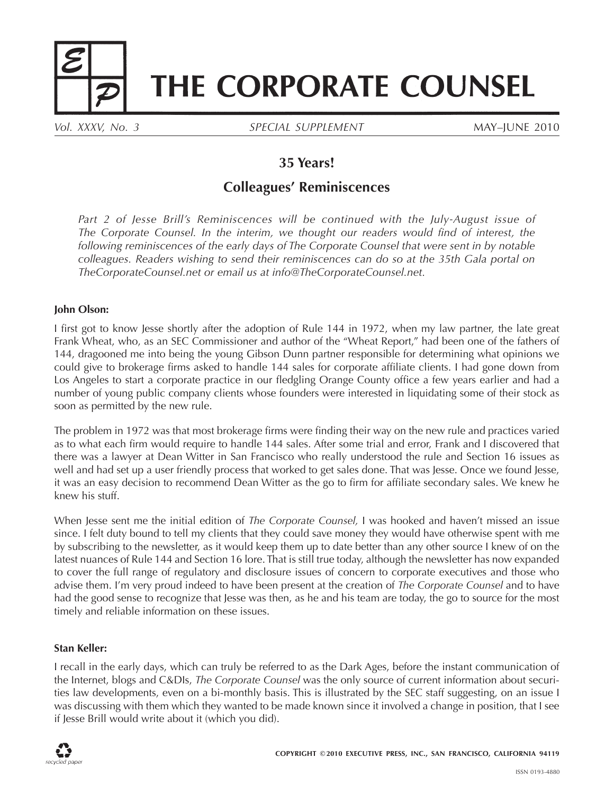

# THE CORPORATE COUNSEL

*Vol. XXXV, No. 3 SPECIAL SUPPLEMENT* MAY–JUNE 2010

## **35 Years!**

# **Colleagues' Reminiscences**

Part 2 of Jesse Brill's Reminiscences will be continued with the July-August issue of *The Corporate Counsel. In the interim, we thought our readers would find of interest, the following reminiscences of the early days of The Corporate Counsel that were sent in by notable colleagues. Readers wishing to send their reminiscences can do so at the 35th Gala portal on TheCorporateCounsel.net or email us at info@TheCorporateCounsel.net.*

#### **John Olson:**

I first got to know Jesse shortly after the adoption of Rule 144 in 1972, when my law partner, the late great Frank Wheat, who, as an SEC Commissioner and author of the "Wheat Report," had been one of the fathers of 144, dragooned me into being the young Gibson Dunn partner responsible for determining what opinions we could give to brokerage firms asked to handle 144 sales for corporate affiliate clients. I had gone down from Los Angeles to start a corporate practice in our fledgling Orange County office a few years earlier and had a number of young public company clients whose founders were interested in liquidating some of their stock as soon as permitted by the new rule.

The problem in 1972 was that most brokerage firms were finding their way on the new rule and practices varied as to what each firm would require to handle 144 sales. After some trial and error, Frank and I discovered that there was a lawyer at Dean Witter in San Francisco who really understood the rule and Section 16 issues as well and had set up a user friendly process that worked to get sales done. That was Jesse. Once we found Jesse, it was an easy decision to recommend Dean Witter as the go to firm for affiliate secondary sales. We knew he knew his stuff.

When Jesse sent me the initial edition of *The Corporate Counsel,* I was hooked and haven't missed an issue since. I felt duty bound to tell my clients that they could save money they would have otherwise spent with me by subscribing to the newsletter, as it would keep them up to date better than any other source I knew of on the latest nuances of Rule 144 and Section 16 lore. That is still true today, although the newsletter has now expanded to cover the full range of regulatory and disclosure issues of concern to corporate executives and those who advise them. I'm very proud indeed to have been present at the creation of *The Corporate Counsel* and to have had the good sense to recognize that Jesse was then, as he and his team are today, the go to source for the most timely and reliable information on these issues.

#### **Stan Keller:**

I recall in the early days, which can truly be referred to as the Dark Ages, before the instant communication of the Internet, blogs and C&DIs, *The Corporate Counsel* was the only source of current information about securities law developments, even on a bi-monthly basis. This is illustrated by the SEC staff suggesting, on an issue I was discussing with them which they wanted to be made known since it involved a change in position, that I see if Jesse Brill would write about it (which you did).

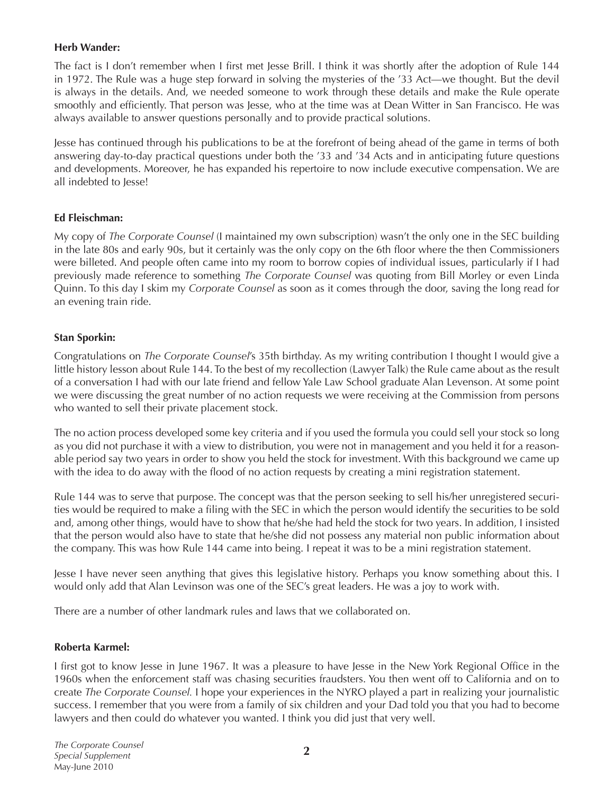#### **Herb Wander:**

The fact is I don't remember when I first met Jesse Brill. I think it was shortly after the adoption of Rule 144 in 1972. The Rule was a huge step forward in solving the mysteries of the '33 Act—we thought. But the devil is always in the details. And, we needed someone to work through these details and make the Rule operate smoothly and efficiently. That person was Jesse, who at the time was at Dean Witter in San Francisco. He was always available to answer questions personally and to provide practical solutions.

Jesse has continued through his publications to be at the forefront of being ahead of the game in terms of both answering day-to-day practical questions under both the '33 and '34 Acts and in anticipating future questions and developments. Moreover, he has expanded his repertoire to now include executive compensation. We are all indebted to Jesse!

#### **Ed Fleischman:**

My copy of *The Corporate Counsel* (I maintained my own subscription) wasn't the only one in the SEC building in the late 80s and early 90s, but it certainly was the only copy on the 6th floor where the then Commissioners were billeted. And people often came into my room to borrow copies of individual issues, particularly if I had previously made reference to something *The Corporate Counsel* was quoting from Bill Morley or even Linda Quinn. To this day I skim my *Corporate Counsel* as soon as it comes through the door, saving the long read for an evening train ride.

#### **Stan Sporkin:**

Congratulations on *The Corporate Counsel*'s 35th birthday. As my writing contribution I thought I would give a little history lesson about Rule 144. To the best of my recollection (Lawyer Talk) the Rule came about as the result of a conversation I had with our late friend and fellow Yale Law School graduate Alan Levenson. At some point we were discussing the great number of no action requests we were receiving at the Commission from persons who wanted to sell their private placement stock.

The no action process developed some key criteria and if you used the formula you could sell your stock so long as you did not purchase it with a view to distribution, you were not in management and you held it for a reasonable period say two years in order to show you held the stock for investment. With this background we came up with the idea to do away with the flood of no action requests by creating a mini registration statement.

Rule 144 was to serve that purpose. The concept was that the person seeking to sell his/her unregistered securities would be required to make a filing with the SEC in which the person would identify the securities to be sold and, among other things, would have to show that he/she had held the stock for two years. In addition, I insisted that the person would also have to state that he/she did not possess any material non public information about the company. This was how Rule 144 came into being. I repeat it was to be a mini registration statement.

Jesse I have never seen anything that gives this legislative history. Perhaps you know something about this. I would only add that Alan Levinson was one of the SEC's great leaders. He was a joy to work with.

There are a number of other landmark rules and laws that we collaborated on.

#### **Roberta Karmel:**

I first got to know Jesse in June 1967. It was a pleasure to have Jesse in the New York Regional Office in the 1960s when the enforcement staff was chasing securities fraudsters. You then went off to California and on to create *The Corporate Counsel.* I hope your experiences in the NYRO played a part in realizing your journalistic success. I remember that you were from a family of six children and your Dad told you that you had to become lawyers and then could do whatever you wanted. I think you did just that very well.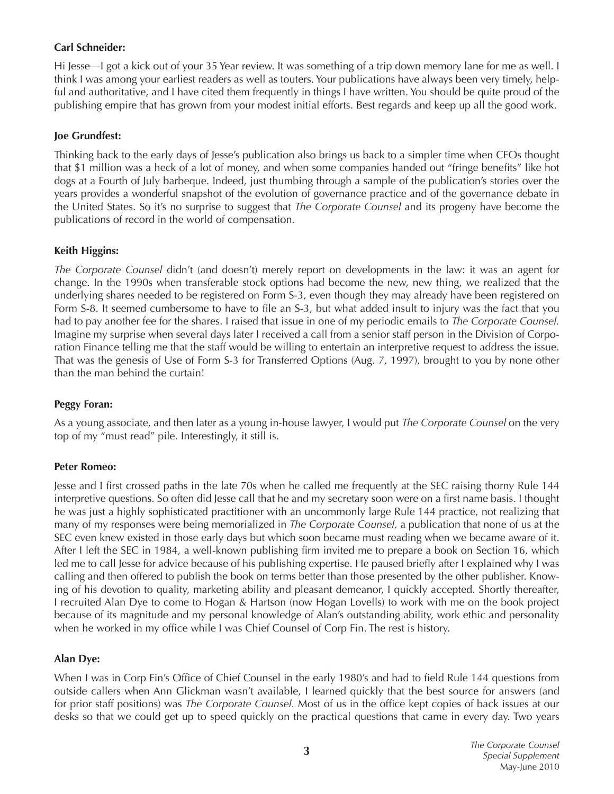## **Carl Schneider:**

Hi Jesse—I got a kick out of your 35 Year review. It was something of a trip down memory lane for me as well. I think I was among your earliest readers as well as touters. Your publications have always been very timely, helpful and authoritative, and I have cited them frequently in things I have written. You should be quite proud of the publishing empire that has grown from your modest initial efforts. Best regards and keep up all the good work.

## **Joe Grundfest:**

Thinking back to the early days of Jesse's publication also brings us back to a simpler time when CEOs thought that \$1 million was a heck of a lot of money, and when some companies handed out "fringe benefits" like hot dogs at a Fourth of July barbeque. Indeed, just thumbing through a sample of the publication's stories over the years provides a wonderful snapshot of the evolution of governance practice and of the governance debate in the United States. So it's no surprise to suggest that *The Corporate Counsel* and its progeny have become the publications of record in the world of compensation.

## **Keith Higgins:**

*The Corporate Counsel* didn't (and doesn't) merely report on developments in the law: it was an agent for change. In the 1990s when transferable stock options had become the new, new thing, we realized that the underlying shares needed to be registered on Form S-3, even though they may already have been registered on Form S-8. It seemed cumbersome to have to file an S-3, but what added insult to injury was the fact that you had to pay another fee for the shares. I raised that issue in one of my periodic emails to *The Corporate Counsel.* Imagine my surprise when several days later I received a call from a senior staff person in the Division of Corporation Finance telling me that the staff would be willing to entertain an interpretive request to address the issue. That was the genesis of Use of Form S-3 for Transferred Options (Aug. 7, 1997), brought to you by none other than the man behind the curtain!

## **Peggy Foran:**

As a young associate, and then later as a young in-house lawyer, I would put *The Corporate Counsel* on the very top of my "must read" pile. Interestingly, it still is.

#### **Peter Romeo:**

Jesse and I first crossed paths in the late 70s when he called me frequently at the SEC raising thorny Rule 144 interpretive questions. So often did Jesse call that he and my secretary soon were on a first name basis. I thought he was just a highly sophisticated practitioner with an uncommonly large Rule 144 practice, not realizing that many of my responses were being memorialized in *The Corporate Counsel,* a publication that none of us at the SEC even knew existed in those early days but which soon became must reading when we became aware of it. After I left the SEC in 1984, a well-known publishing firm invited me to prepare a book on Section 16, which led me to call Jesse for advice because of his publishing expertise. He paused briefly after I explained why I was calling and then offered to publish the book on terms better than those presented by the other publisher. Knowing of his devotion to quality, marketing ability and pleasant demeanor, I quickly accepted. Shortly thereafter, I recruited Alan Dye to come to Hogan & Hartson (now Hogan Lovells) to work with me on the book project because of its magnitude and my personal knowledge of Alan's outstanding ability, work ethic and personality when he worked in my office while I was Chief Counsel of Corp Fin. The rest is history.

## **Alan Dye:**

When I was in Corp Fin's Office of Chief Counsel in the early 1980's and had to field Rule 144 questions from outside callers when Ann Glickman wasn't available, I learned quickly that the best source for answers (and for prior staff positions) was *The Corporate Counsel.* Most of us in the office kept copies of back issues at our desks so that we could get up to speed quickly on the practical questions that came in every day. Two years